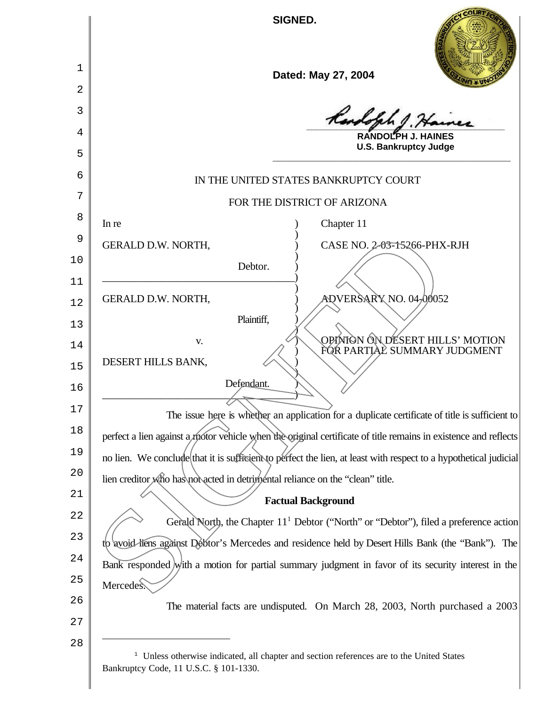**SIGNED.**

i.

| 1        | Dated: May 27, 2004                                                                                                                                                                                                |
|----------|--------------------------------------------------------------------------------------------------------------------------------------------------------------------------------------------------------------------|
| 2        |                                                                                                                                                                                                                    |
| 3        | Randolph J. Hainer                                                                                                                                                                                                 |
| 4        | RANDOLPH J. HAINES<br><b>U.S. Bankruptcy Judge</b>                                                                                                                                                                 |
| 5        |                                                                                                                                                                                                                    |
| 6        | IN THE UNITED STATES BANKRUPTCY COURT                                                                                                                                                                              |
| 7        | FOR THE DISTRICT OF ARIZONA                                                                                                                                                                                        |
| 8        | Chapter 11<br>In re                                                                                                                                                                                                |
| 9        | CASE NO. 2-03-15266-PHX-RJH<br><b>GERALD D.W. NORTH,</b>                                                                                                                                                           |
| 10       | Debtor.                                                                                                                                                                                                            |
| 11       | ADVERSARY NO. 04/00052<br><b>GERALD D.W. NORTH,</b>                                                                                                                                                                |
| 12       | Plaintiff,                                                                                                                                                                                                         |
| 13<br>14 | OPINION ON DESERT HILLS' MOTION<br>V.                                                                                                                                                                              |
| 15       | FØR PARTIAL SUMMARY JUDGMENT<br>DESERT HILLS BANK,                                                                                                                                                                 |
| 16       | Defendant.                                                                                                                                                                                                         |
| 17       |                                                                                                                                                                                                                    |
| 18       | The issue here is whether an application for a duplicate certificate of title is sufficient to<br>perfect a lien against a motor vehicle (when the original certificate of title remains in existence and reflects |
| 19       | no lien. We conclude that it is sufficient to perfect the lien, at least with respect to a hypothetical judicial                                                                                                   |
| 20       | lien creditor who has not acted in detrimental reliance on the "clean" title.                                                                                                                                      |
| 21       | <b>Factual Background</b>                                                                                                                                                                                          |
| 22       | Gerald North, the Chapter 11 <sup>1</sup> Debtor ("North" or "Debtor"), filed a preference action                                                                                                                  |
| 23       | to avoid liens against Debtor's Mercedes and residence held by Desert Hills Bank (the "Bank"). The                                                                                                                 |
| 24       | Bank responded with a motion for partial summary judgment in favor of its security interest in the                                                                                                                 |
| 25       | Mercedes.                                                                                                                                                                                                          |
| 26       | The material facts are undisputed. On March 28, 2003, North purchased a 2003                                                                                                                                       |
| 27       |                                                                                                                                                                                                                    |
| 28       | <sup>1</sup> Unless otherwise indicated, all chapter and section references are to the United States                                                                                                               |
|          |                                                                                                                                                                                                                    |

Bankruptcy Code, 11 U.S.C. § 101-1330.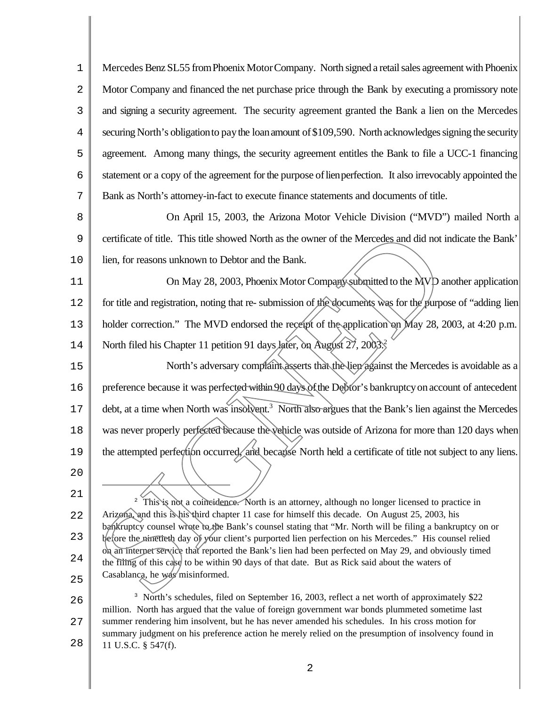1 2 3 4 5 6 7 Mercedes Benz SL55 from Phoenix Motor Company. North signed a retail sales agreement with Phoenix Motor Company and financed the net purchase price through the Bank by executing a promissory note and signing a security agreement. The security agreement granted the Bank a lien on the Mercedes securing North's obligation to pay the loan amount of \$109,590. North acknowledges signing the security agreement. Among many things, the security agreement entitles the Bank to file a UCC-1 financing statement or a copy of the agreement for the purpose of lien perfection. It also irrevocably appointed the Bank as North's attorney-in-fact to execute finance statements and documents of title.

8 9 10 On April 15, 2003, the Arizona Motor Vehicle Division ("MVD") mailed North a certificate of title. This title showed North as the owner of the Mercedes and did not indicate the Bank' lien, for reasons unknown to Debtor and the Bank.

11 12 13 14 On May 28, 2003, Phoenix Motor Company submitted to the  $MVD$  another application for title and registration, noting that re- submission of the documents was for the purpose of "adding lien" holder correction." The MVD endorsed the receipt of the application on May 28, 2003, at 4:20 p.m. North filed his Chapter 11 petition 91 days later, on August 27, 2003.

15 16 17 18 19  $20^{\circ}$ North's adversary complaint asserts that the lien against the Mercedes is avoidable as a preference because it was perfected within 90 days of the Debtor's bankruptcy on account of antecedent debt, at a time when North was insolvent.<sup>3</sup> North also argues that the Bank's lien against the Mercedes was never properly perfected because the vehicle was outside of Arizona for more than 120 days when certificate of title. This title showed North as the owner of the Mercedes and did not indicate the Bank<sup>1</sup><br>lien, for reasons unknown to Debtor and the Bank.<br>On May 28, 2003, Phoenix Motor Compage submitted to the MVD ano

21

22 23 24 25 <sup>2</sup> This is not a coincidence. North is an attorney, although no longer licensed to practice in Arizona, and this is his third chapter 11 case for himself this decade. On August 25, 2003, his bankruptcy counsel wrote to the Bank's counsel stating that "Mr. North will be filing a bankruptcy on or before the ninetieth day of your client's purported lien perfection on his Mercedes." His counsel relied on an internet service that reported the Bank's lien had been perfected on May 29, and obviously timed the filing of this case to be within 90 days of that date. But as Rick said about the waters of Casablanca, he was misinformed.

26 27 28 <sup>3</sup> North's schedules, filed on September 16, 2003, reflect a net worth of approximately \$22 million. North has argued that the value of foreign government war bonds plummeted sometime last summer rendering him insolvent, but he has never amended his schedules. In his cross motion for summary judgment on his preference action he merely relied on the presumption of insolvency found in 11 U.S.C. § 547(f).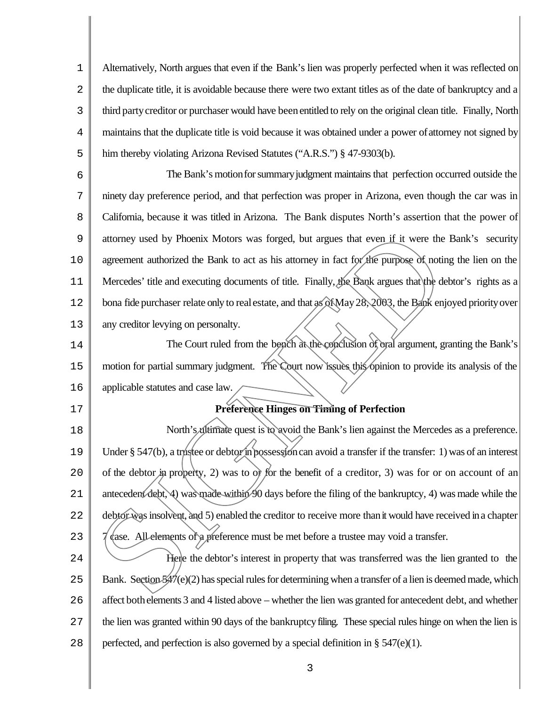1 2 3 4 5 Alternatively, North argues that even if the Bank's lien was properly perfected when it was reflected on the duplicate title, it is avoidable because there were two extant titles as of the date of bankruptcy and a third partycreditor or purchaser would have beenentitled to rely on the original clean title. Finally, North maintains that the duplicate title is void because it was obtained under a power ofattorney not signed by him thereby violating Arizona Revised Statutes ("A.R.S.") § 47-9303(b).

6 7 8 9 10 11 12 13 The Bank's motion for summary judgment maintains that perfection occurred outside the ninety day preference period, and that perfection was proper in Arizona, even though the car was in California, because it was titled in Arizona. The Bank disputes North's assertion that the power of attorney used by Phoenix Motors was forged, but argues that even if it were the Bank's security agreement authorized the Bank to act as his attorney in fact for the purpose of noting the lien on the Mercedes' title and executing documents of title. Finally, the Bank argues that the debtor's rights as a bona fide purchaser relate only to real estate, and that as of May 28, 2003, the Bank enjoyed priority over any creditor levying on personalty.

14 15 16 The Court ruled from the bench at the conclusion of oral argument, granting the Bank's motion for partial summary judgment. The Court now issues this opinion to provide its analysis of the applicable statutes and case law.

17

## **Preference Hinges on Timing of Perfection**

18 19  $2.0$ 21 22 23 North's *ultimate* quest is to avoid the Bank's lien against the Mercedes as a preference. Under § 547(b), a trustee or debtor in possession can avoid a transfer if the transfer: 1) was of an interest of the debtor in property, 2) was to  $\alpha$  for the benefit of a creditor, 3) was for or on account of an antecedent debt, 4) was made within 90 days before the filing of the bankruptcy, 4) was made while the debtor was insolvent, and 5) enabled the creditor to receive more than it would have received in a chapter 7 case. All elements of a preference must be met before a trustee may void a transfer. attorney used by Phoenix Motors was forged, but argues that even if it were the agreement authorized the Bank to act as his attorney in fact for the purpose of notic Mercedes' title and executing documents of title. Final

 $2.4$ 25 26 27 28 Here the debtor's interest in property that was transferred was the lien granted to the Bank. Section  $547(e)(2)$  has special rules for determining when a transfer of a lien is deemed made, which affect bothelements 3 and 4 listed above – whether the lien was granted for antecedent debt, and whether the lien was granted within 90 days of the bankruptcyfiling. These special rules hinge on when the lien is perfected, and perfection is also governed by a special definition in § 547(e)(1).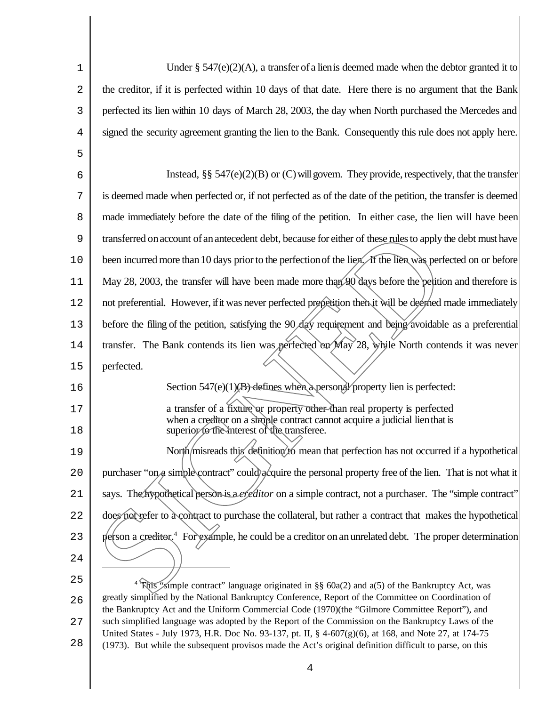| 1  | Under $\S$ 547(e)(2)(A), a transfer of a lien is deemed made when the debtor granted it to                                                                                                             |
|----|--------------------------------------------------------------------------------------------------------------------------------------------------------------------------------------------------------|
| 2  | the creditor, if it is perfected within 10 days of that date. Here there is no argument that the Bank                                                                                                  |
| 3  | perfected its lien within 10 days of March 28, 2003, the day when North purchased the Mercedes and                                                                                                     |
| 4  | signed the security agreement granting the lien to the Bank. Consequently this rule does not apply here.                                                                                               |
| 5  |                                                                                                                                                                                                        |
| 6  | Instead, §§ $547(e)(2)(B)$ or (C) will govern. They provide, respectively, that the transfer                                                                                                           |
| 7  | is deemed made when perfected or, if not perfected as of the date of the petition, the transfer is deemed                                                                                              |
| 8  | made immediately before the date of the filing of the petition. In either case, the lien will have been                                                                                                |
| 9  | transferred on account of an antecedent debt, because for either of these rules to apply the debt must have                                                                                            |
| 10 | been incurred more than 10 days prior to the perfection of the lien. If the lien was perfected on or before                                                                                            |
| 11 | May 28, 2003, the transfer will have been made more than 90 days before the petition and therefore is                                                                                                  |
| 12 | not preferential. However, if it was never perfected prepetition then it will be deemed made immediately                                                                                               |
| 13 | before the filing of the petition, satisfying the 90 day requirement and being avoidable as a preferential                                                                                             |
| 14 | transfer. The Bank contends its lien was perfected on May 28, while North contends it was never                                                                                                        |
| 15 | perfected.                                                                                                                                                                                             |
| 16 | Section $547(e)(1)(B)$ defines when a personal property lien is perfected:                                                                                                                             |
| 17 | a transfer of a fixture or property other than real property is perfected<br>when a creditor on a simple contract cannot acquire a judicial lien that is                                               |
| 18 | superior to the interest of the transferee.                                                                                                                                                            |
| 19 | North misreads this definition to mean that perfection has not occurred if a hypothetical                                                                                                              |
| 20 | purchaser "on a simple contract" could acquire the personal property free of the lien. That is not what it                                                                                             |
| 21 | says. The hypothetical person is a creditor on a simple contract, not a purchaser. The "simple contract"                                                                                               |
| 22 | does not refer to a contract to purchase the collateral, but rather a contract that makes the hypothetical                                                                                             |
| 23 | person a creditor. <sup>4</sup> For example, he could be a creditor on an unrelated debt. The proper determination                                                                                     |
| 24 |                                                                                                                                                                                                        |
| 25 | <sup>4</sup> This Simple contract" language originated in §§ 60a(2) and a(5) of the Bankruptcy Act, was                                                                                                |
| 26 | greatly simplified by the National Bankruptcy Conference, Report of the Committee on Coordination of<br>the Bankruptcy Act and the Uniform Commercial Code (1970)(the "Gilmore Committee Report"), and |
| 27 | such simplified language was adopted by the Report of the Commission on the Bankruptcy Laws of the                                                                                                     |

- 27 United States - July 1973, H.R. Doc No. 93-137, pt. II, § 4-607(g)(6), at 168, and Note 27, at 174-75
- 28 (1973). But while the subsequent provisos made the Act's original definition difficult to parse, on this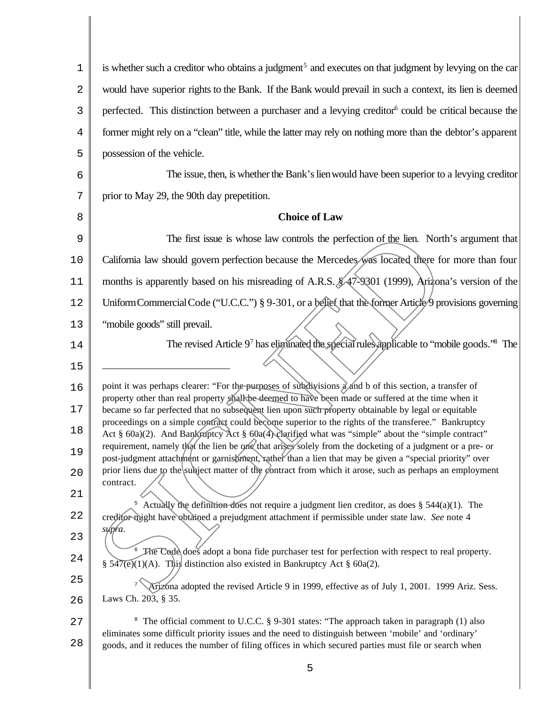| $\mathbf 1$ | is whether such a creditor who obtains a judgment <sup>5</sup> and executes on that judgment by levying on the car                                                                                               |
|-------------|------------------------------------------------------------------------------------------------------------------------------------------------------------------------------------------------------------------|
| 2           | would have superior rights to the Bank. If the Bank would prevail in such a context, its lien is deemed                                                                                                          |
| 3           | perfected. This distinction between a purchaser and a levying creditor <sup>6</sup> could be critical because the                                                                                                |
| 4           | former might rely on a "clean" title, while the latter may rely on nothing more than the debtor's apparent                                                                                                       |
| 5           | possession of the vehicle.                                                                                                                                                                                       |
| 6           | The issue, then, is whether the Bank's lien would have been superior to a levying creditor                                                                                                                       |
| 7           | prior to May 29, the 90th day prepetition.                                                                                                                                                                       |
| 8           | <b>Choice of Law</b>                                                                                                                                                                                             |
| 9           | The first issue is whose law controls the perfection of the lien. North's argument that                                                                                                                          |
| 10          | California law should govern perfection because the Mercedes was located there for more than four                                                                                                                |
| 11          | months is apparently based on his misreading of A.R.S. § 47-9301 (1999), Arizona's version of the                                                                                                                |
| 12          | Uniform Commercial Code ("U.C.C.") § 9-301, or a belief that the former Article 9 provisions governing                                                                                                           |
| 13          | "mobile goods" still prevail.                                                                                                                                                                                    |
| 14          | The revised Article 97 has eliminated the special rules applicable to "mobile goods." <sup>8</sup> The                                                                                                           |
| 15          |                                                                                                                                                                                                                  |
| 16          | point it was perhaps clearer: "For the purposes of subdivisions a and b of this section, a transfer of<br>property other than real property shall be deemed to have been made or suffered at the time when it    |
| 17          | became so far perfected that no subsequent lien upon such property obtainable by legal or equitable                                                                                                              |
| 18          | proceedings on a simple contract could become superior to the rights of the transferee." Bankruptcy<br>Act § 60a)(2). And Bankruptcy Act § 60a(4) clarified what was "simple" about the "simple contract"        |
| 19          | requirement, namely that the lien be one that anyes solely from the docketing of a judgment or a pre- or post-judgment attachment or garnishment, rather than a lien that may be given a "special priority" over |
| 20          | prior liens due to the subject matter of the contract from which it arose, such as perhaps an employment<br>contract.                                                                                            |
| 21          | Actually the definition does not require a judgment lien creditor, as does $\S$ 544(a)(1). The                                                                                                                   |
| 22          | creditor might have obtained a prejudgment attachment if permissible under state law. See note 4                                                                                                                 |
| 23          | supra.                                                                                                                                                                                                           |
| 24          | <sup>6</sup> The Code does adopt a bona fide purchaser test for perfection with respect to real property.<br>§ $547(e)(1)(A)$ . This distinction also existed in Bankruptcy Act § 60a(2).                        |
| 25          | Arizona adopted the revised Article 9 in 1999, effective as of July 1, 2001. 1999 Ariz. Sess.                                                                                                                    |
| 26          | Laws Ch. 203, § 35.                                                                                                                                                                                              |
| 27          | <sup>8</sup> The official comment to U.C.C. § 9-301 states: "The approach taken in paragraph (1) also                                                                                                            |
| 28          | eliminates some difficult priority issues and the need to distinguish between 'mobile' and 'ordinary'<br>goods, and it reduces the number of filing offices in which secured parties must file or search when    |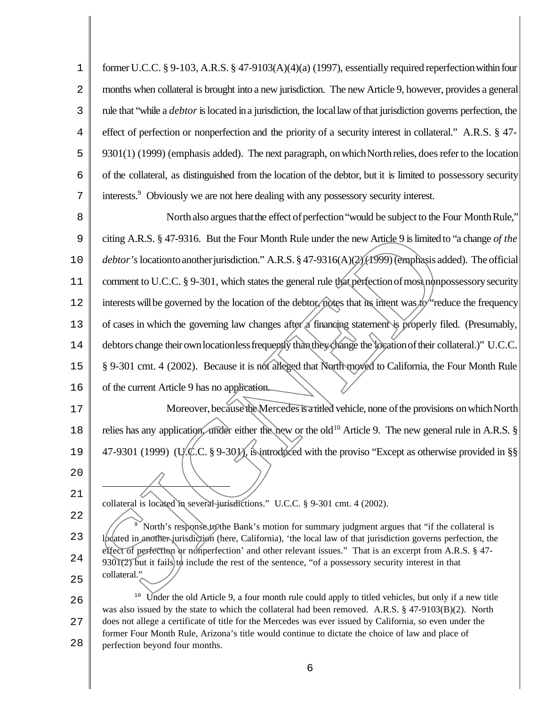1 2 3 4 5 6 7 former U.C.C. § 9-103, A.R.S. § 47-9103(A)(4)(a) (1997), essentially required reperfection within four months when collateral is brought into a new jurisdiction. The new Article 9, however, provides a general rule that "while a *debtor*islocated ina jurisdiction, the locallawofthat jurisdiction governs perfection, the effect of perfection or nonperfection and the priority of a security interest in collateral." A.R.S. § 47- 9301(1) (1999) (emphasis added). The next paragraph, on which North relies, does refer to the location of the collateral, as distinguished from the location of the debtor, but it is limited to possessory security interests.<sup>9</sup> Obviously we are not here dealing with any possessory security interest.

8 9 10 11 12 13 14 15 16 North also argues that the effect of perfection "would be subject to the Four Month Rule," citing A.R.S. § 47-9316. But the Four Month Rule under the new Article 9 islimited to "a change *of the* debtor's locationto another jurisdiction." A.R.S. § 47-9316(A)(2)(1999) (emphasis added). The official comment to U.C.C. § 9-301, which states the general rule that perfection of most nonpossessory security interests will be governed by the location of the debtor, notes that its intent was  $\sqrt{a}$  "reduce the frequency of cases in which the governing law changes after a financing statement is properly filed. (Presumably, debtors change their own locationless frequently than they change the location of their collateral.)" U.C.C. § 9-301 cmt. 4 (2002). Because it is not alleged that North moved to California, the Four Month Rule of the current Article 9 has no application. citing A.R.S. § 47-9316. But the Four Month Rule under the new Article 9 is limited to "a change of the<br>debtor's locationto another jurisdiction." A.R.S. § 47-9316(A)(2)(1999) (emphasis added). The official<br>comment to U.C

17

18 Moreover, because the Mercedes is a titled vehicle, none of the provisions on which North relies has any application, under either the new or the old<sup>10</sup> Article 9. The new general rule in A.R.S. §

- 19
- $2.0$
- 21

collateral is located in several jurisdictions." U.C.C. § 9-301 cmt. 4 (2002).

22 23 24 25 9 North's response to the Bank's motion for summary judgment argues that "if the collateral is located in another jurisdiction (here, California), 'the local law of that jurisdiction governs perfection, the effect of perfection or nonperfection' and other relevant issues." That is an excerpt from A.R.S. § 47-  $9301(2)$  but it fails to include the rest of the sentence, "of a possessory security interest in that collateral."

26 27 28 <sup>10</sup> Under the old Article 9, a four month rule could apply to titled vehicles, but only if a new title was also issued by the state to which the collateral had been removed. A.R.S. § 47-9103(B)(2). North does not allege a certificate of title for the Mercedes was ever issued by California, so even under the former Four Month Rule, Arizona's title would continue to dictate the choice of law and place of perfection beyond four months.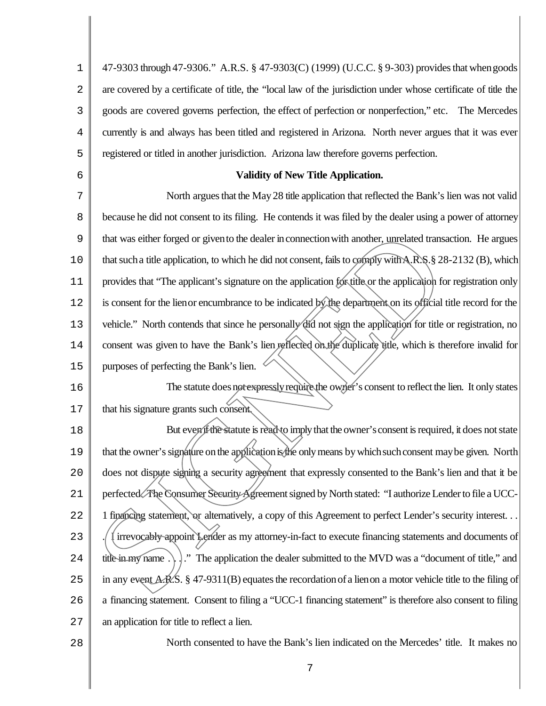1 2 3 4 5 6 7 8 9 10 11 12 13 14 15 16 17 18 19  $2.0$ 21 22 23  $2.4$ 25 26 27 28 47-9303 through 47-9306." A.R.S. § 47-9303(C) (1999) (U.C.C. § 9-303) providesthat whengoods are covered by a certificate of title, the "local law of the jurisdiction under whose certificate of title the goods are covered governs perfection, the effect of perfection or nonperfection," etc. The Mercedes currently is and always has been titled and registered in Arizona. North never argues that it was ever registered or titled in another jurisdiction. Arizona law therefore governs perfection. **Validity of New Title Application.** North argues that the May 28 title application that reflected the Bank's lien was not valid because he did not consent to its filing. He contends it was filed by the dealer using a power of attorney that was either forged or given to the dealer in connection with another, unrelated transaction. He argues that such a title application, to which he did not consent, fails to comply with A.R.S. § 28-2132 (B), which provides that "The applicant's signature on the application for title or the application for registration only is consent for the lienor encumbrance to be indicated by the department on its official title record for the vehicle." North contends that since he personally did not sign the application for title or registration, no consent was given to have the Bank's lien reflected on the duplicate title, which is therefore invalid for purposes of perfecting the Bank's lien. The statute does not expressly require the owner's consent to reflect the lien. It only states that his signature grants such consent. But even if the statute is read to imply that the owner's consent is required, it does not state that the owner's signature on the application is the only means by which such consent may be given. North does not dispute signing a security agreement that expressly consented to the Bank's lien and that it be perfected. The Consumer Security Agreement signed by North stated: "I authorize Lender to file a UCC-1 financing statement, or alternatively, a copy of this Agreement to perfect Lender's security interest. . . . I irrevocably appoint Lender as my attorney-in-fact to execute financing statements and documents of title in my name ... ..." The application the dealer submitted to the MVD was a "document of title," and in any event  $\angle R.S. \$  47-9311(B) equates the recordation of a lienon a motor vehicle title to the filing of a financing statement. Consent to filing a "UCC-1 financing statement" is therefore also consent to filing an application for title to reflect a lien. North consented to have the Bank's lien indicated on the Mercedes' title. It makes no that was either forged or given to the dealer in connection with another, unrelated transmutical such a title application, to which he did not consent, fails to comply with AR. \$, \$2<br>provides that "The applicant's signatur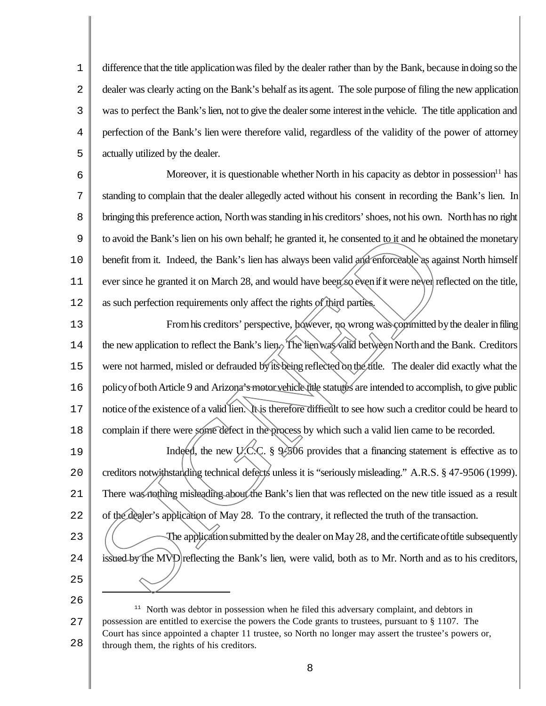1 2 3 4 5 difference that the title application was filed by the dealer rather than by the Bank, because in doing so the dealer was clearly acting on the Bank's behalf as its agent. The sole purpose of filing the new application was to perfect the Bank's lien, not to give the dealer some interest in the vehicle. The title application and perfection of the Bank's lien were therefore valid, regardless of the validity of the power of attorney actually utilized by the dealer.

6 7 8 9 10 11 12 Moreover, it is questionable whether North in his capacity as debtor in possession $11$  has standing to complain that the dealer allegedly acted without his consent in recording the Bank's lien. In bringing this preference action, Northwasstanding inhis creditors'shoes, not his own. Northhas no right to avoid the Bank's lien on his own behalf; he granted it, he consented to it and he obtained the monetary benefit from it. Indeed, the Bank's lien has always been valid and enforceable as against North himself ever since he granted it on March 28, and would have been so even if it were never reflected on the title, as such perfection requirements only affect the rights of third parties.

13 14 15 16 17 18 From his creditors' perspective, however, no wrong was committed by the dealer in filing the new application to reflect the Bank's lien. The lien was valid between North and the Bank. Creditors were not harmed, misled or defrauded by its being reflected on the title. The dealer did exactly what the policy of both Article 9 and Arizona's motor vehicle title statutes are intended to accomplish, to give public notice of the existence of a valid lien. It is therefore difficult to see how such a creditor could be heard to complain if there were some defect in the process by which such a valid lien came to be recorded. to avoid the Bank's lien on his own behalf; he granted it, he consented to it and he obtained the monetary benefit from it. Indeed, the Bank's lien has always been valid and enforceable as against North himself ever since

19  $2.0$ 21 22 Indeed, the new  $U(CC, \S 9)$  506 provides that a financing statement is effective as to creditors notwithstanding technical defects unless it is "seriously misleading." A.R.S. § 47-9506 (1999). There was nothing misleading about the Bank's lien that was reflected on the new title issued as a result of the dealer's application of May 28. To the contrary, it reflected the truth of the transaction.

- 23  $2.4$ The application submitted by the dealer on May 28, and the certificate of title subsequently
- 25 26

27 28 <sup>11</sup> North was debtor in possession when he filed this adversary complaint, and debtors in possession are entitled to exercise the powers the Code grants to trustees, pursuant to § 1107. The Court has since appointed a chapter 11 trustee, so North no longer may assert the trustee's powers or, through them, the rights of his creditors.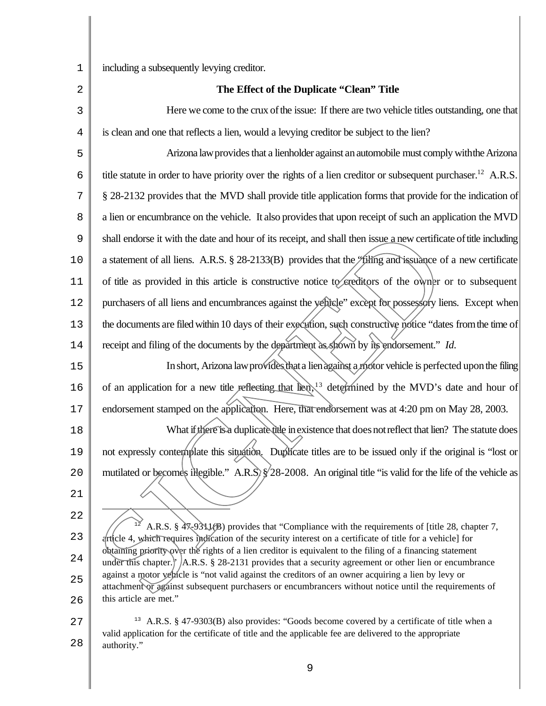1 including a subsequently levying creditor.

2 3 4 5 6 7 8 9 10 11 12 13 14 15 16 17 18 19  $20$ 21 22 23 A.R.S. §  $47-931(8)$  provides that "Compliance with the requirements of [title 28, chapter 7, article 4, which requires indication of the security interest on a certificate of title for a vehicle] for **The Effect of the Duplicate "Clean" Title** Here we come to the crux of the issue: If there are two vehicle titles outstanding, one that is clean and one that reflects a lien, would a levying creditor be subject to the lien? Arizona law provides that a lienholder against an automobile must comply with the Arizona title statute in order to have priority over the rights of a lien creditor or subsequent purchaser.<sup>12</sup> A.R.S. § 28-2132 provides that the MVD shall provide title application forms that provide for the indication of a lien or encumbrance on the vehicle. It also provides that upon receipt of such an application the MVD shall endorse it with the date and hour of its receipt, and shall then issue a new certificate of title including a statement of all liens. A.R.S. § 28-2133(B) provides that the "filing and issuance of a new certificate of title as provided in this article is constructive notice to creditors of the owner or to subsequent purchasers of all liens and encumbrances against the yethicle" except for possessory liens. Except when the documents are filedwithin 10 days of their execution, such constructive notice "dates fromthe time of receipt and filing of the documents by the department as shown by its endorsement." *Id.* In short, Arizona law provides that a lien against a motor vehicle is perfected upon the filing of an application for a new title reflecting that lien, <sup>13</sup> determined by the MVD's date and hour of endorsement stamped on the application. Here, that endorsement was at 4:20 pm on May 28, 2003. What if there is a duplicate title in existence that does not reflect that lien? The statute does not expressly contemplate this situation. Duplicate titles are to be issued only if the original is "lost or shall endorse it with the date and hour of its receipt, and shall then issue a new certificate of the including<br>a statement of all liens. A.R.S. § 28-2133(B) provides that the "filmg and issuance of a new certificate<br>of t

24 25 26 obtaining priority over the rights of a lien creditor is equivalent to the filing of a financing statement under this chapter." | A.R.S. § 28-2131 provides that a security agreement or other lien or encumbrance against a motor vehicle is "not valid against the creditors of an owner acquiring a lien by levy or attachment or against subsequent purchasers or encumbrancers without notice until the requirements of this article are met."

27 28 <sup>13</sup> A.R.S. § 47-9303(B) also provides: "Goods become covered by a certificate of title when a valid application for the certificate of title and the applicable fee are delivered to the appropriate authority."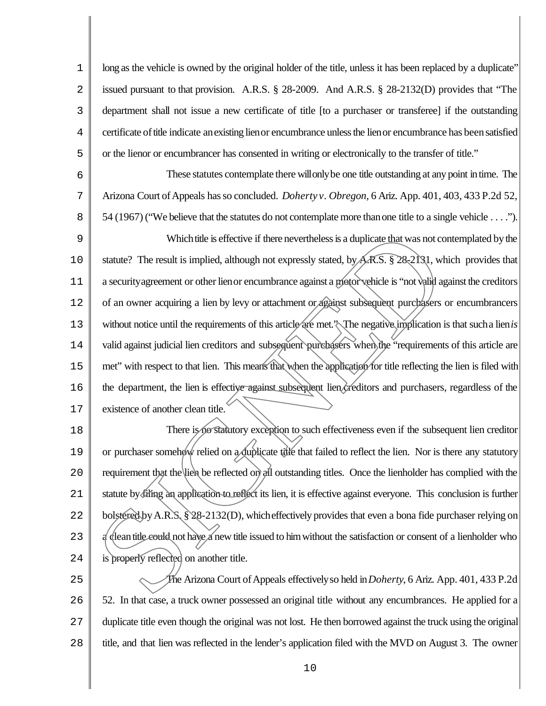1 2 3 4 5 long as the vehicle is owned by the original holder of the title, unless it has been replaced by a duplicate" issued pursuant to that provision. A.R.S. § 28-2009. And A.R.S. § 28-2132(D) provides that "The department shall not issue a new certificate of title [to a purchaser or transferee] if the outstanding certificate of title indicate an existing lien or encumbrance unless the lien or encumbrance has been satisfied or the lienor or encumbrancer has consented in writing or electronically to the transfer of title."

6 7 8 These statutes contemplate there willonlybe one title outstanding at any point intime. The Arizona Court of Appeals has so concluded. *Dohertyv. Obregon*, 6 Ariz. App. 401, 403, 433 P.2d 52, 54 (1967) ("We believe that the statutes do not contemplate more thanone title to a single vehicle . . . .").

9 10 11 12 13 14 15 16 17 Which title is effective if there nevertheless is a duplicate that was not contemplated by the statute? The result is implied, although not expressly stated, by A.R.S. § 28-2131, which provides that a security agreement or other lien or encumbrance against a motor vehicle is "not valid against the creditors of an owner acquiring a lien by levy or attachment or against subsequent purchasers or encumbrancers without notice until the requirements of this article are met." The negative implication is that such a lien *is* valid against judicial lien creditors and subsequent purchasers when the "requirements of this article are met" with respect to that lien. This means that when the application for title reflecting the lien is filed with the department, the lien is effective against subsequent lien creditors and purchasers, regardless of the existence of another clean title. Which title is effective if there nevertheless is a duplicate that was not constant and the simulation of the search of the security agreement or other lien or encumbrance against a photor vehicle is "not valid against an

18 19  $2.0$ 21 22 23  $2.4$ There is no statutory exception to such effectiveness even if the subsequent lien creditor or purchaser somehow relied on a duplicate title that failed to reflect the lien. Nor is there any statutory requirement that the lien be reflected on all outstanding titles. Once the lienholder has complied with the statute by filing an application to reflect its lien, it is effective against everyone. This conclusion is further bolstered byA.R.S. § 28-2132(D), whicheffectively provides that even a bona fide purchaser relying on a clean title could not have a new title issued to him without the satisfaction or consent of a lienholder who is properly reflected on another title.

25 26 27 28 The Arizona Court ofAppeals effectivelyso held in*Doherty*, 6 Ariz. App. 401, 433 P.2d 52. In that case, a truck owner possessed an original title without any encumbrances. He applied for a duplicate title even though the original was not lost. He then borrowed against the truck using the original title, and that lien was reflected in the lender's application filed with the MVD on August 3. The owner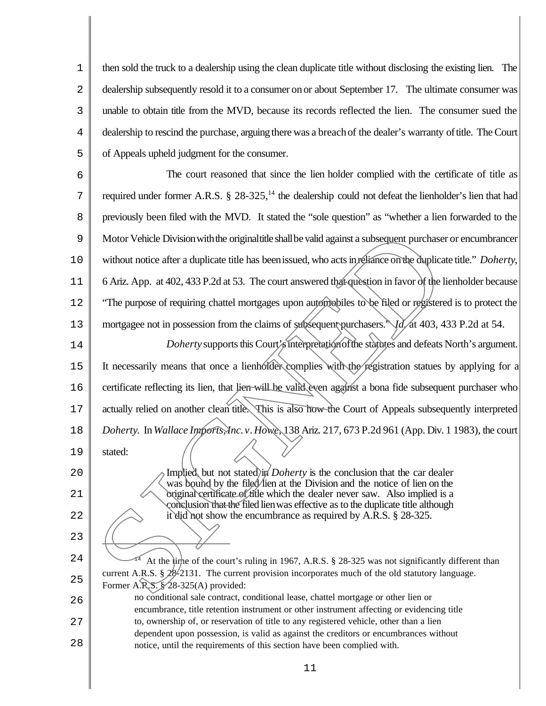1 2 3 4 5 then sold the truck to a dealership using the clean duplicate title without disclosing the existing lien. The dealership subsequently resold it to a consumer onor about September 17. The ultimate consumer was unable to obtain title from the MVD, because its records reflected the lien. The consumer sued the dealership to rescind the purchase, arguing there was a breachof the dealer's warranty oftitle. The Court of Appeals upheld judgment for the consumer.

6 7 8 9 10 11 12 13 The court reasoned that since the lien holder complied with the certificate of title as required under former A.R.S. § 28-325,<sup>14</sup> the dealership could not defeat the lienholder's lien that had previously been filed with the MVD. It stated the "sole question" as "whether a lien forwarded to the Motor Vehicle Division with the original title shall be valid against a subsequent purchaser or encumbrancer without notice after a duplicate title has been issued, who acts in reliance on the duplicate title." *Doherty*, 6 Ariz. App. at 402, 433 P.2d at 53. The court answered that question in favor of the lienholder because "The purpose of requiring chattel mortgages upon automobiles to be filed or registered is to protect the mortgagee not in possession from the claims of subsequent purchasers." *Id.* at 403, 433 P.2d at 54.

14 15 16 17 18 *Doherty* supports this Court's interpretation of the statutes and defeats North's argument. It necessarily means that once a lienholder complies with the registration statues by applying for a certificate reflecting its lien, that lien will be valid even against a bona fide subsequent purchaser who actually relied on another clean title. This is also how the Court of Appeals subsequently interpreted *Doherty*. In *Wallace Imports,Inc. v.Howe*, 138 Ariz. 217, 673 P.2d 961 (App. Div. 1 1983), the court stated: Motor Vehicle Division with the originalities shall be valid against a subsequent purchase<br>without notice after a duplicate title has been issued, who acts in reflame on the duplicate<br>6 Ariz App. at 402, 433 P.2d at 53. T

19

 $2.0$ 

21

22

23

 $2.4$ 

25

Implied, but not stated in *Doherty* is the conclusion that the car dealer was bound by the filed lien at the Division and the notice of lien on the original certificate of title which the dealer never saw. Also implied is a conclusion that the filed lien was effective as to the duplicate title although it did not show the encumbrance as required by A.R.S. § 28-325.

 $^{14}$  At the time of the court's ruling in 1967, A.R.S. § 28-325 was not significantly different than current A.R.S. §  $28/2131$ . The current provision incorporates much of the old statutory language. Former  $AR.S. \times 28-325(A)$  provided:

26 27 28 no conditional sale contract, conditional lease, chattel mortgage or other lien or encumbrance, title retention instrument or other instrument affecting or evidencing title to, ownership of, or reservation of title to any registered vehicle, other than a lien dependent upon possession, is valid as against the creditors or encumbrances without notice, until the requirements of this section have been complied with.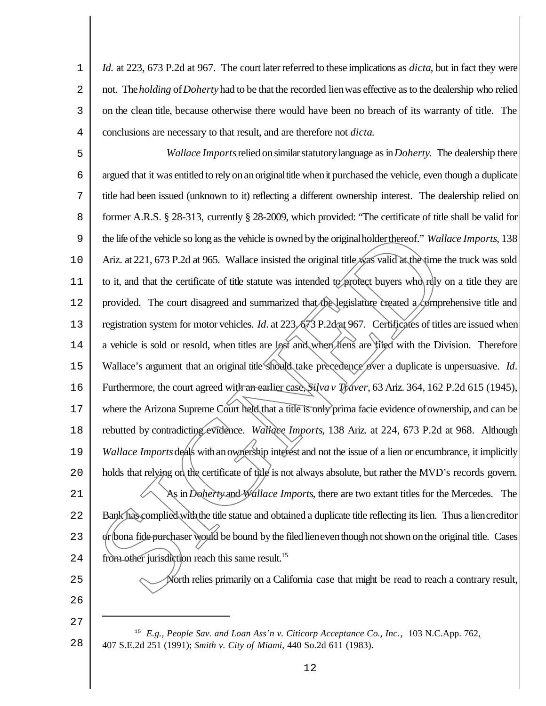1 2 3 4 *Id.* at 223, 673 P.2d at 967. The court later referred to these implications as *dicta*, but in fact they were not. The *holding* of*Doherty* had to be that the recorded lienwas effective asto the dealership who relied on the clean title, because otherwise there would have been no breach of its warranty of title. The conclusions are necessary to that result, and are therefore not *dicta*.

5 6 7 8 9 10 11 12 13 14 15 16 17 18 19  $2.0$ 21 22 23  $2.4$ *Wallace Imports* relied on similar statutory language as in *Doherty*. The dealership there argued that it was entitled to rely onanoriginaltitle whenit purchased the vehicle, even though a duplicate title had been issued (unknown to it) reflecting a different ownership interest. The dealership relied on former A.R.S. § 28-313, currently § 28-2009, which provided: "The certificate of title shall be valid for the life ofthe vehicle so long asthe vehicle is owned bythe originalholderthereof." *Wallace Imports*, 138 Ariz. at 221, 673 P.2d at 965. Wallace insisted the original title was valid at the time the truck was sold to it, and that the certificate of title statute was intended to protect buyers who rely on a title they are provided. The court disagreed and summarized that the legislature created  $a$ /comprehensive title and registration system for motor vehicles. *Id*. at 223, 673 P.2d at 967. Certificates of titles are issued when a vehicle is sold or resold, when titles are lost and when liens are filed with the Division. Therefore Wallace's argument that an original title should take precedence over a duplicate is unpersuasive. *Id*. Furthermore, the court agreed with an earlier case, *Silva v Tyaver*, 63 Ariz. 364, 162 P.2d 615 (1945), where the Arizona Supreme Court held that a title is only prima facie evidence of ownership, and can be rebutted by contradicting evidence. *Wallace Imports*, 138 Ariz. at 224, 673 P.2d at 968. Although *Wallace Imports* deals with an ownership interest and not the issue of a lien or encumbrance, it implicitly holds that relying on the certificate of tille is not always absolute, but rather the MVD's records govern. As in*Doherty* and *Wallace Imports*, there are two extant titles for the Mercedes. The Bank has complied with the title statue and obtained a duplicate title reflecting its lien. Thus a liencreditor or bona fide purchaser would be bound bythe filed lieneventhough notshown onthe original title. Cases the life of the vehicle so long as the vehicle is owned by the original holder thereof." Wallace Imports, 138<br>Ariz. at 221, 673 P.2d at 965. Wallace insisted the original title was wished at the time the truck was sold<br>to

- 
- 28 15 *E.g., People Sav. and Loan Ass'n v. Citicorp Acceptance Co., Inc.*, 103 N.C.App. 762, 407 S.E.2d 251 (1991); *Smith v. City of Miami*, 440 So.2d 611 (1983).

25

26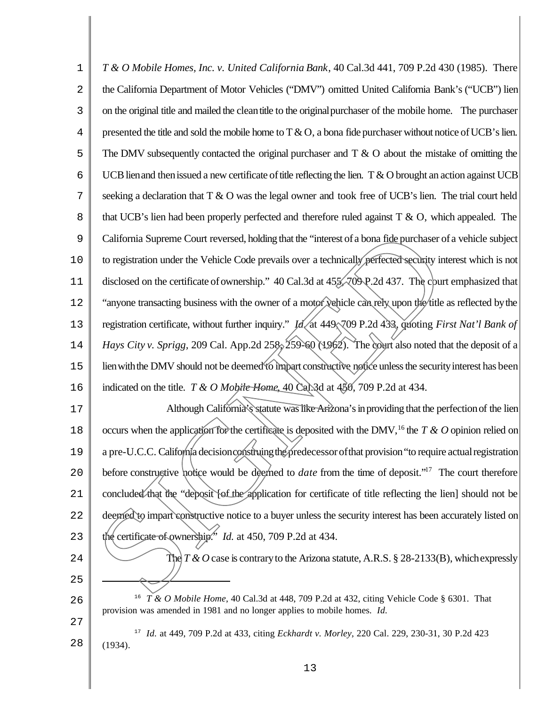1 2 3 4 5 6 7 8 9 10 11 12 13 14 15 16 17 18 19  $2.0$ 21 22 23 24 *T & O Mobile Homes, Inc. v. United California Bank*, 40 Cal.3d 441, 709 P.2d 430 (1985). There the California Department of Motor Vehicles ("DMV") omitted United California Bank's ("UCB") lien on the original title and mailed the cleantitle to the originalpurchaser of the mobile home. The purchaser presented the title and sold the mobile home to  $T & O$ , a bona fide purchaser without notice of UCB's lien. The DMV subsequently contacted the original purchaser and T & O about the mistake of omitting the UCB lien and then issued a new certificate of title reflecting the lien. T  $\&$  O brought an action against UCB seeking a declaration that T & O was the legal owner and took free of UCB's lien. The trial court held that UCB's lien had been properly perfected and therefore ruled against T & O, which appealed. The California Supreme Court reversed, holding that the "interest of a bona fide purchaser of a vehicle subject to registration under the Vehicle Code prevails over a technically perfected security interest which is not disclosed on the certificate of ownership." 40 Cal.3d at 455, 709 P.2d 437. The court emphasized that "anyone transacting business with the owner of a motor vehicle can rely upon the title as reflected by the registration certificate, without further inquiry." *Id.* at 449, 709 P.2d 433, quoting *First Nat'l Bank of Hays City v. Sprigg,* 209 Cal. App.2d 258, 259-60 (1962). The court also noted that the deposit of a lien with the DMV should not be deemed to impart constructive notice unless the security interest has been indicated on the title. *T & O Mobile Home*, 40 Cal. 3d at  $450$ , 709 P.2d at 434. Although California's statute was like Arizona's in providing that the perfection of the lien occurs when the application for the certificate is deposited with the DMV,<sup>16</sup> the *T & O* opinion relied on a pre-U.C.C. California decision construing the predecessor of that provision "to require actual registration before constructive notice would be deemed to *date* from the time of deposit."<sup>17</sup> The court therefore concluded that the "deposit [of the application for certificate of title reflecting the lien] should not be deemed to impart constructive notice to a buyer unless the security interest has been accurately listed on the certificate of ownership." *Id.* at 450, 709 P.2d at 434. California Supreme Court reversed, holding that the "interest of a bona fide purchaser of a vehicle subject<br>to registration under the Vehicle Code prevails over a technically perfected security interest which is not<br>discl

16 *T* & *O Mobile Home*, 40 Cal.3d at 448, 709 P.2d at 432, citing Vehicle Code § 6301. That provision was amended in 1981 and no longer applies to mobile homes. *Id.*

28 <sup>17</sup> *Id.* at 449, 709 P.2d at 433, citing *Eckhardt v. Morley*, 220 Cal. 229, 230-31, 30 P.2d 423 (1934).

25

26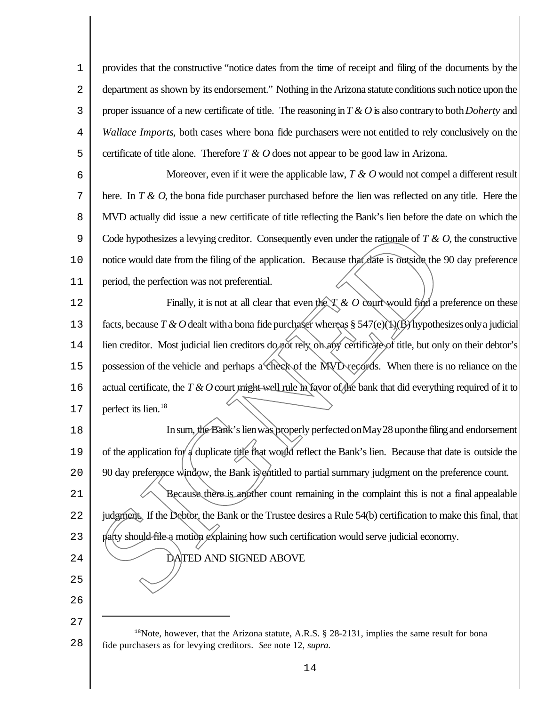1 2 3 4 5 provides that the constructive "notice dates from the time of receipt and filing of the documents by the department as shown by its endorsement." Nothing in the Arizona statute conditions such notice upon the proper issuance of a new certificate of title. The reasoning in*T & O* is also contraryto both*Doherty* and *Wallace Imports*, both cases where bona fide purchasers were not entitled to rely conclusively on the certificate of title alone. Therefore *T & O* does not appear to be good law in Arizona.

6 7 8 9 10 11 Moreover, even if it were the applicable law, *T & O* would not compel a different result here. In *T & O*, the bona fide purchaser purchased before the lien was reflected on any title. Here the MVD actually did issue a new certificate of title reflecting the Bank's lien before the date on which the Code hypothesizes a levying creditor. Consequently even under the rationale of *T & O*, the constructive notice would date from the filing of the application. Because that date is outside the 90 day preference period, the perfection was not preferential.

12 13 14 15 16 17 Finally, it is not at all clear that even the *T* & *O* court would find a preference on these facts, because *T* & *O* dealt with a bona fide purchaser whereas § 547(e)(1)(B) hypothesizes only a judicial lien creditor. Most judicial lien creditors do not rely on any certificate of title, but only on their debtor's possession of the vehicle and perhaps a check of the MVD records. When there is no reliance on the actual certificate, the *T & O* court might well rule in favor of the bank that did everything required of it to perfect its lien.<sup>18</sup> Code hypothesizes a levying creditor. Consequently even under the rationale of  $T \& C$ <br>notice would date from the filing of the application. Because that date is outside the period, the perfection was not preferential.<br>F

18 19  $2.0$ 21 22 23 In sum, the Bank's lien was properly perfected on May 28 upon the filing and endorsement of the application for a duplicate title that would reflect the Bank's lien. Because that date is outside the 90 day preference window, the Bank is entitled to partial summary judgment on the preference count. Because there is another count remaining in the complaint this is not a final appealable judgment. If the Debtor, the Bank or the Trustee desires a Rule 54(b) certification to make this final, that party should file a motion explaining how such certification would serve judicial economy.

 $2.4$ 

25

26

<sup>28</sup> <sup>18</sup>Note, however, that the Arizona statute, A.R.S. § 28-2131, implies the same result for bona fide purchasers as for levying creditors. *See* note 12, *supra*.